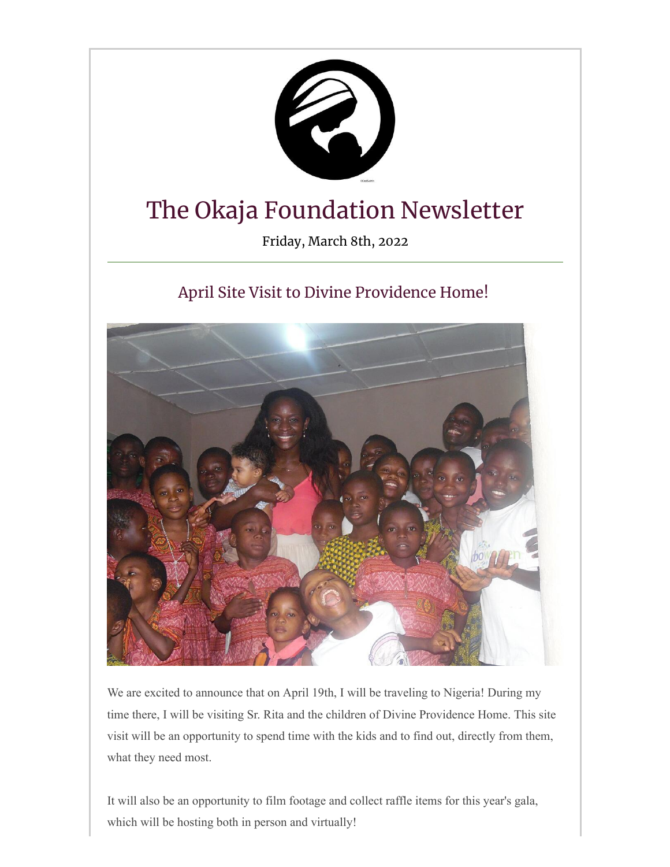

# The Okaja Foundation Newsletter

Friday, March 8th, 2022

## April Site Visit to Divine Providence Home!



We are excited to announce that on April 19th, I will be traveling to Nigeria! During my time there, I will be visiting Sr. Rita and the children of Divine Providence Home. This site visit will be an opportunity to spend time with the kids and to find out, directly from them, what they need most.

It will also be an opportunity to film footage and collect raffle items for this year's gala, which will be hosting both in person and virtually!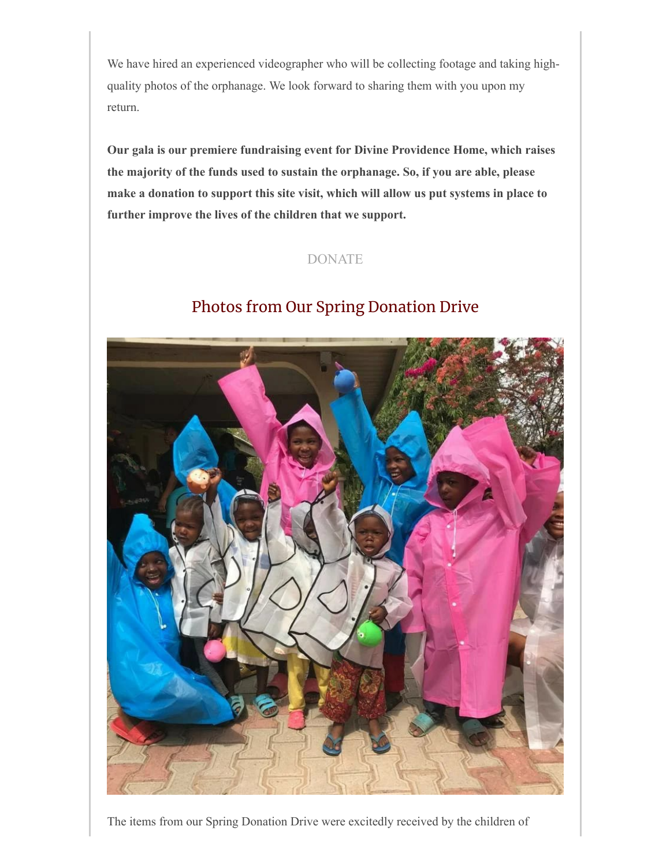We have hired an experienced videographer who will be collecting footage and taking highquality photos of the orphanage. We look forward to sharing them with you upon my return.

**Our gala is our premiere fundraising event for Divine Providence Home, which raises the majority of the funds used to sustain the orphanage. So, if you are able, please make a donation to support this site visit, which will allow us put systems in place to further improve the lives of the children that we support.**

#### [DONATE](https://secure.givelively.org/donate/okaja-foundation)

## Photos from Our Spring Donation Drive



The items from our Spring Donation Drive were excitedly received by the children of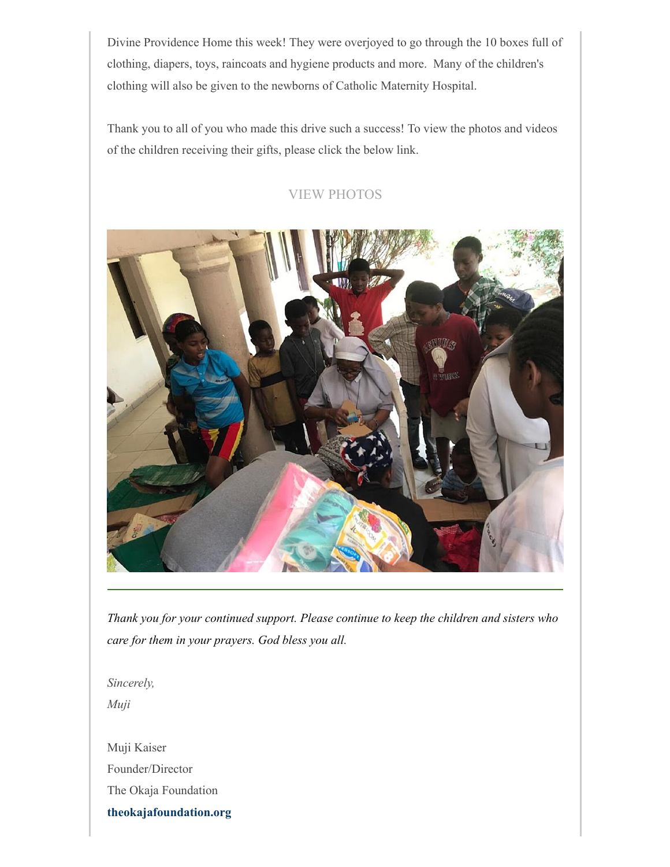Divine Providence Home this week! They were overjoyed to go through the 10 boxes full of clothing, diapers, toys, raincoats and hygiene products and more. Many of the children's clothing will also be given to the newborns of Catholic Maternity Hospital.

Thank you to all of you who made this drive such a success! To view the photos and videos of the children receiving their gifts, please click the below link.

### [VIEW PHOTOS](https://photos.google.com/share/AF1QipNXF5k-52CaYj4C9T8lNLvXWYLgSHS3061KRe_PgX_nsmvSV87PkrcjZc8RGSsGDA?key=UmJVRHlXSHVmMTlRbk4tUGo2ZnV5bG5XLUhvVU5R)



*Thank you for your continued support. Please continue to keep the children and sisters who care for them in your prayers. God bless you all.*

*Sincerely, Muji*

Muji Kaiser Founder/Director The Okaja Foundation **[theokajafoundation.org](http://theokajafoundation.org/)**